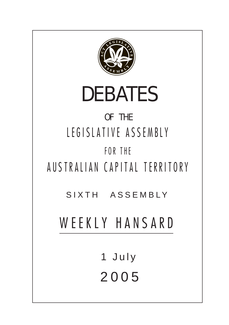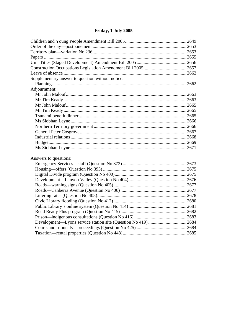# Friday, 1 July 2005

| Supplementary answer to question without notice: |  |  |
|--------------------------------------------------|--|--|
|                                                  |  |  |
| Adjournment:                                     |  |  |
|                                                  |  |  |
|                                                  |  |  |
|                                                  |  |  |
|                                                  |  |  |
|                                                  |  |  |
|                                                  |  |  |
|                                                  |  |  |
|                                                  |  |  |
|                                                  |  |  |
|                                                  |  |  |
|                                                  |  |  |
| Answers to questions:                            |  |  |
|                                                  |  |  |
|                                                  |  |  |
|                                                  |  |  |
|                                                  |  |  |
|                                                  |  |  |
|                                                  |  |  |
|                                                  |  |  |
|                                                  |  |  |
|                                                  |  |  |
|                                                  |  |  |
|                                                  |  |  |
|                                                  |  |  |
|                                                  |  |  |
|                                                  |  |  |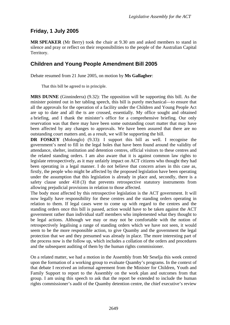# <span id="page-2-0"></span>**Friday, 1 July 2005**

**MR SPEAKER** (Mr Berry) took the chair at 9.30 am and asked members to stand in silence and pray or reflect on their responsibilities to the people of the Australian Capital Territory.

# **Children and Young People Amendment Bill 2005**

Debate resumed from 21 June 2005, on motion by **Ms Gallagher**:

That this bill be agreed to in principle.

**MRS DUNNE** (Ginninderra) (9.32): The opposition will be supporting this bill. As the minister pointed out in her tabling speech, this bill is purely mechanical—to ensure that all the approvals for the operation of a facility under the Children and Young People Act are up to date and all the ts are crossed, essentially. My office sought and obtained a briefing, and I thank the minister's office for a comprehensive briefing. Our only reservation was that there may have been some outstanding court matter that may have been affected by any changes to approvals. We have been assured that there are no outstanding court matters and, as a result, we will be supporting the bill.

**DR FOSKEY** (Molonglo) (9.33): I support this bill as well. I recognise the government's need to fill in the legal holes that have been found around the validity of attendance, shelter, institution and detention centres, official visitors to these centres and the related standing orders. I am also aware that it is against common law rights to legislate retrospectively, as it may unfairly impact on ACT citizens who thought they had been operating in a legal manner. I do not believe that concern arises in this case as, firstly, the people who might be affected by the proposed legislation have been operating under the assumption that this legislation is already in place and, secondly, there is a safety clause under 418 (3) that prevents retrospective statutory instruments from allowing prejudicial provisions in relation to those affected.

The body most affected by this retrospective legislation is the ACT government. It will now legally have responsibility for these centres and the standing orders operating in relation to them. If legal cases were to come up with regard to the centres and the standing orders once this bill is passed, action would have to be taken against the ACT government rather than individual staff members who implemented what they thought to be legal actions. Although we may or may not be comfortable with the notion of retrospectively legalising a range of standing orders which we have not seen, it would seem to be the more responsible action, to give Quamby and the government the legal protection that we and they presumed was already in place. The more interesting part of the process now is the follow up, which includes a collation of the orders and procedures and the subsequent auditing of them by the human rights commissioner.

On a related matter, we had a motion in the Assembly from Mr Seselja this week centred upon the formation of a working group to evaluate Quamby's programs. In the context of that debate I received an informal agreement from the Minister for Children, Youth and Family Support to report to the Assembly on the work plan and outcomes from that group. I am using this speech to ask that the report be extended to include the human rights commissioner's audit of the Quamby detention centre, the chief executive's review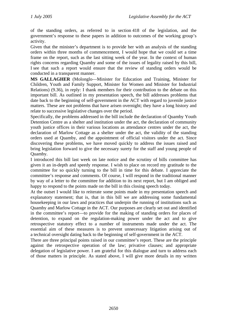of the standing orders, as referred to in section 418 of the legislation, and the government's response to these papers in addition to outcomes of the working group's activity.

Given that the minister's department is to provide her with an analysis of the standing orders within three months of commencement, I would hope that we could set a time frame on the report, such as the last sitting week of the year. In the context of human rights concerns regarding Quamby and some of the issues of legality raised by this bill, I see that such a report would ensure that the review of standing orders would be conducted in a transparent manner.

**MS GALLAGHER** (Molonglo—Minister for Education and Training, Minister for Children, Youth and Family Support, Minister for Women and Minister for Industrial Relations) (9.36), in reply: I thank members for their contribution to the debate on this important bill. As outlined in my presentation speech, the bill addresses problems that date back to the beginning of self-government in the ACT with regard to juvenile justice matters. These are not problems that have arisen overnight; they have a long history and relate to successive legislative changes over the period.

Specifically, the problems addressed in the bill include the declaration of Quamby Youth Detention Centre as a shelter and institution under the act, the declaration of community youth justice offices in their various locations as attendance centres under the act, the declaration of Marlow Cottage as a shelter under the act, the validity of the standing orders used at Quamby, and the appointment of official visitors under the act. Since discovering these problems, we have moved quickly to address the issues raised and bring legislation forward to give the necessary surety for the staff and young people of Quamby.

I introduced this bill last week on late notice and the scrutiny of bills committee has given it an in-depth and speedy response. I wish to place on record my gratitude to the committee for so quickly turning to the bill in time for this debate. I appreciate the committee's response and comments. Of course, I will respond in the traditional manner by way of a letter to the committee for addition to its next report, but I am obliged and happy to respond to the points made on the bill in this closing speech today.

At the outset I would like to reiterate some points made in my presentation speech and explanatory statement; that is, that in this bill we are addressing some fundamental housekeeping in our laws and practices that underpin the running of institutions such as Quamby and Marlow Cottage in the ACT. Our purposes are clearly set out and identified in the committee's report—to provide for the making of standing orders for places of detention, to expand on the regulation-making power under the act and to give retrospective statutory effect to a number of instruments made under the act. The essential aim of these measures is to prevent unnecessary litigation arising out of a technical oversight dating back to the beginning of self-government in the ACT.

There are three principal points raised in our committee's report. These are the principle against the retrospective operation of the law; privative clauses; and appropriate delegation of legislative power. I am grateful for this dialogue and turn to address each of those matters in principle. As stated above, I will give more details in my written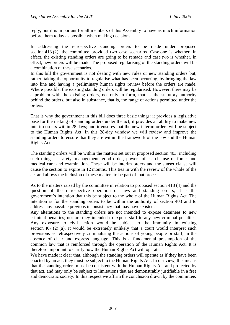reply, but it is important for all members of this Assembly to have as much information before them today as possible when making decisions.

In addressing the retrospective standing orders to be made under proposed section 418 (2), the committee provided two case scenarios. Case one is whether, in effect, the existing standing orders are going to be remade and case two is whether, in effect, new orders will be made. The proposed regularising of the standing orders will be a combination of these scenarios.

In this bill the government is not dealing with new rules or new standing orders but, rather, taking the opportunity to regularise what has been occurring, by bringing the law into line and having a preliminary human rights review before the orders are made. Where possible, the existing standing orders will be regularised. However, there may be a problem with the existing orders, not only in form, that is, the statutory authority behind the orders, but also in substance, that is, the range of actions permitted under the orders.

That is why the government in this bill does three basic things: it provides a legislative base for the making of standing orders under the act; it provides an ability to make new interim orders within 28 days; and it ensures that the new interim orders will be subject to the Human Rights Act. In this 28-day window we will review and improve the standing orders to ensure that they are within the framework of the law and the Human Rights Act.

The standing orders will be within the matters set out in proposed section 403, including such things as safety, management, good order, powers of search, use of force, and medical care and examination. These will be interim orders and the sunset clause will cause the section to expire in 12 months. This ties in with the review of the whole of the act and allows the inclusion of these matters to be part of that process.

As to the matters raised by the committee in relation to proposed section 418 (4) and the question of the retrospective operation of laws and standing orders, it is the government's intention that this be subject to the whole of the Human Rights Act. The intention is for the standing orders to be within the authority of section 403 and to address any possible previous inconsistency that may have existed.

Any alterations to the standing orders are not intended to expose detainees to new criminal penalties; nor are they intended to expose staff to any new criminal penalties. Any exposure to civil action would be subject to the immunity in existing section 407 (2) (a). It would be extremely unlikely that a court would interpret such provisions as retrospectively criminalising the actions of young people or staff, in the absence of clear and express language. This is a fundamental presumption of the common law that is reinforced through the operation of the Human Rights Act. It is therefore important to clarify how the Human Rights Act will operate.

We have made it clear that, although the standing orders will operate as if they have been enacted by an act, they must be subject to the Human Rights Act. In our view, this means that the standing orders must be consistent with the Human Rights Act and protected by that act, and may only be subject to limitations that are demonstrably justifiable in a free and democratic society. In this respect we affirm the conclusion drawn by the committee.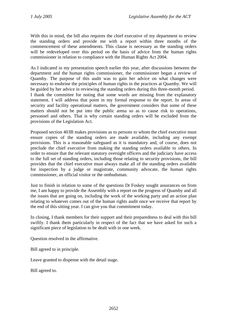With this in mind, the bill also requires the chief executive of my department to review the standing orders and provide me with a report within three months of the commencement of these amendments. This clause is necessary as the standing orders will be redeveloped over this period on the basis of advice from the human rights commissioner in relation to compliance with the Human Rights Act 2004.

As I indicated in my presentation speech earlier this year, after discussions between the department and the human rights commissioner, the commissioner began a review of Quamby. The purpose of this audit was to gain her advice on what changes were necessary to enshrine the principles of human rights in the practices at Quamby. We will be guided by her advice in reviewing the standing orders during this three-month period. I thank the committee for noting that some words are missing from the explanatory statement. I will address that point in my formal response to the report. In areas of security and facility operational matters, the government considers that some of these matters should not be put into the public arena so as to cause risk to operations, personnel and others. That is why certain standing orders will be excluded from the provisions of the Legislation Act.

Proposed section 403B makes provisions as to persons to whom the chief executive must ensure copies of the standing orders are made available, including any exempt provisions. This is a reasonable safeguard as it is mandatory and, of course, does not preclude the chief executive from making the standing orders available to others. In order to ensure that the relevant statutory oversight officers and the judiciary have access to the full set of standing orders, including those relating to security provisions, the bill provides that the chief executive must always make all of the standing orders available for inspection by a judge or magistrate, community advocate, the human rights commissioner, an official visitor or the ombudsman.

Just to finish in relation to some of the questions Dr Foskey sought assurances on from me, I am happy to provide the Assembly with a report on the progress of Quamby and all the issues that are going on, including the work of the working party and an action plan relating to whatever comes out of the human rights audit once we receive that report by the end of this sitting year. I can give you that commitment today.

In closing, I thank members for their support and their preparedness to deal with this bill swiftly. I thank them particularly in respect of the fact that we have asked for such a significant piece of legislation to be dealt with in one week.

Question resolved in the affirmative.

Bill agreed to in principle.

Leave granted to dispense with the detail stage.

Bill agreed to.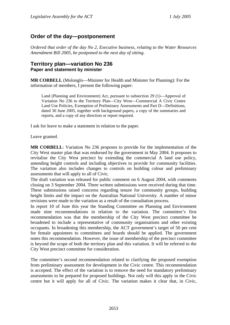# <span id="page-6-0"></span>**Order of the day—postponement**

*Ordered that order of the day No 2, Executive business, relating to the Water Resources Amendment Bill 2005, be postponed to the next day of sitting.* 

## **Territory plan—variation No 236 Paper and statement by minister**

**MR CORBELL** (Molonglo—Minister for Health and Minister for Planning): For the information of members, I present the following paper:

Land (Planning and Environment) Act, pursuant to subsection 29 (1)—Approval of Variation No 236 to the Territory Plan—City West—Commercial A Civic Centre Land Use Policies, Exemption of Preliminary Assessments and Part D—Definitions, dated 30 June 2005, together with background papers, a copy of the summaries and reports, and a copy of any direction or report required.

I ask for leave to make a statement in relation to the paper.

Leave granted.

**MR CORBELL**: Variation No 236 proposes to provide for the implementation of the City West master plan that was endorsed by the government in May 2004. It proposes to revitalise the City West precinct by extending the commercial A land use policy, amending height controls and including objectives to provide for community facilities. The variation also includes changes to controls on building colour and preliminary assessments that will apply to all of Civic.

The draft variation was released for public comment on 6 August 2004, with comments closing on 3 September 2004. Three written submissions were received during that time. These submissions raised concerns regarding tenure for community groups, building height limits and the impact on the Australian National University. A number of minor revisions were made to the variation as a result of the consultation process.

In report 10 of June this year the Standing Committee on Planning and Environment made nine recommendations in relation to the variation. The committee's first recommendation was that the membership of the City West precinct committee be broadened to include a representative of community organisations and other existing occupants. In broadening this membership, the ACT government's target of 50 per cent for female appointees to committees and boards should be applied. The government notes this recommendation. However, the issue of membership of the precinct committee is beyond the scope of both the territory plan and this variation. It will be referred to the City West precinct committee for consideration.

The committee's second recommendation related to clarifying the proposed exemption from preliminary assessment for development in the Civic centre. This recommendation is accepted. The effect of the variation is to remove the need for mandatory preliminary assessments to be prepared for proposed buildings. Not only will this apply in the Civic centre but it will apply for all of Civic. The variation makes it clear that, in Civic,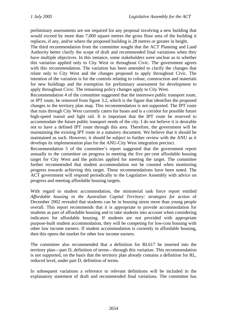preliminary assessments are not required for any proposal involving a new building that would exceed by more than 7,000 square metres the gross floor area of the building it replaces, if any, and/or where the proposed building is 28 metres or greater in height.

The third recommendation from the committee sought that the ACT Planning and Land Authority better clarify the scope of draft and recommended final variations when they have multiple objectives. In this instance, some stakeholders were unclear as to whether this variation applied only to City West or throughout Civic. The government agrees with this recommendation. The variation has been amended to clarify the changes that relate only to City West and the changes proposed to apply throughout Civic. The intention of the variation is for the controls relating to colour, construction and materials for new buildings and the exemption for preliminary assessment for development to apply throughout Civic. The remaining policy changes apply to City West.

Recommendation 4 of the committee suggested that the intertown public transport route, or IPT route, be removed from figure 3.2, which is the figure that identifies the proposed changes to the territory plan map. This recommendation is not supported. The IPT route that runs through City West currently caters for buses and is a corridor for possible future high-speed transit and light rail. It is important that the IPT route be reserved to accommodate the future public transport needs of the city. I do not believe it is desirable not to have a defined IPT route through this area. Therefore, the government will be maintaining the existing IPT route in a statutory document. We believe that it should be maintained as such. However, it should be subject to further review with the ANU as it develops its implementation plan for the ANU-City West integration precinct.

Recommendation 5 of the committee's report suggested that the government report annually to the committee on progress in meeting the five per cent affordable housing target for City West and the policies applied for meeting the target. The committee further recommended that student accommodation not be counted when monitoring progress towards achieving this target. These recommendations have been noted. The ACT government will respond periodically to the Legislative Assembly with advice on progress and meeting affordable housing targets.

With regard to student accommodation, the ministerial task force report entitled *Affordable housing in the Australian Capital Territory: strategies for action* of December 2002 revealed that students can be in housing stress more than young people overall. This report recommends that it is appropriate to provide accommodation for students as part of affordable housing and to take students into account when considering indicators for affordable housing. If students are not provided with appropriate purpose-built student accommodation, they will be competing for low-cost housing with other low income earners. If student accommodation is currently in affordable housing, then this opens the market for other low income earners.

The committee also recommended that a definition for RL617 be inserted into the territory plan—part D, definition of terms—through this variation. This recommendation is not supported, on the basis that the territory plan already contains a definition for RL, reduced level, under part D, definition of terms.

In subsequent variations a reference to relevant definitions will be included in the explanatory statement of draft and recommended final variations. The committee has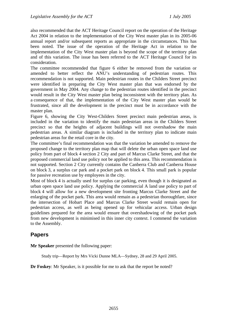<span id="page-8-0"></span>also recommended that the ACT Heritage Council report on the operation of the Heritage Act 2004 in relation to the implementation of the City West master plan in its 2005-06 annual report and/or subsequent reports as appropriate in the circumstances. This has been noted. The issue of the operation of the Heritage Act in relation to the implementation of the City West master plan is beyond the scope of the territory plan and of this variation. The issue has been referred to the ACT Heritage Council for its consideration.

The committee recommended that figure 6 either be removed from the variation or amended to better reflect the ANU's understanding of pedestrian routes. This recommendation is not supported. Main pedestrian routes in the Childers Street precinct were identified in preparing the City West master plan that was endorsed by the government in May 2004. Any change to the pedestrian routes identified in the precinct would result in the City West master plan being inconsistent with the territory plan. As a consequence of that, the implementation of the City West master plan would be frustrated, since all the development in the precinct must be in accordance with the master plan.

Figure 6, showing the City West-Childers Street precinct main pedestrian areas, is included in the variation to identify the main pedestrian areas in the Childers Street precinct so that the heights of adjacent buildings will not overshadow the main pedestrian areas. A similar diagram is included in the territory plan to indicate main pedestrian areas for the retail core in the city.

The committee's final recommendation was that the variation be amended to remove the proposed change to the territory plan map that will delete the urban open space land use policy from part of block 4 section 2 City and part of Marcus Clarke Street, and that the proposed commercial land use policy not be applied to this area. This recommendation is not supported. Section 2 City currently contains the Canberra Club and Canberra House on block 3, a surplus car park and a pocket park on block 4. This small park is popular for passive recreation use by employees in the city.

Most of block 4 is actually used for surplus car parking, even though it is designated as urban open space land use policy. Applying the commercial A land use policy to part of block 4 will allow for a new development site fronting Marcus Clarke Street and the enlarging of the pocket park. This area would remain as a pedestrian thoroughfare, since the intersection of Hobart Place and Marcus Clarke Street would remain open for pedestrian access, as well as being opened up for vehicular access. Urban design guidelines prepared for the area would ensure that overshadowing of the pocket park from new development is minimised in this inner city context. I commend the variation to the Assembly.

# **Papers**

**Mr Speaker** presented the following paper:

Study trip—Report by Mrs Vicki Dunne MLA—Sydney, 28 and 29 April 2005.

**Dr Foskey**: Mr Speaker, is it possible for me to ask that the report be noted?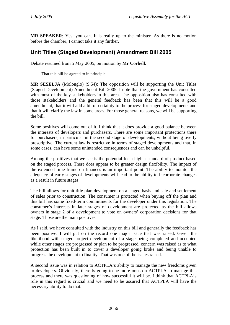<span id="page-9-0"></span>**MR SPEAKER**: Yes, you can. It is really up to the minister. As there is no motion before the chamber, I cannot take it any further.

# **Unit Titles (Staged Development) Amendment Bill 2005**

Debate resumed from 5 May 2005, on motion by **Mr Corbell**:

That this bill be agreed to in principle.

**MR SESELJA** (Molonglo) (9.54): The opposition will be supporting the Unit Titles (Staged Development) Amendment Bill 2005. I note that the government has consulted with most of the key stakeholders in this area. The opposition also has consulted with those stakeholders and the general feedback has been that this will be a good amendment, that it will add a bit of certainty to the process for staged developments and that it will clarify the law in some areas. For those general reasons, we will be supporting the bill.

Some positives will come out of it. I think that it does provide a good balance between the interests of developers and purchasers. There are some important protections there for purchasers, in particular in the second stage of developments, without being overly prescriptive. The current law is restrictive in terms of staged developments and that, in some cases, can have some unintended consequences and can be unhelpful.

Among the positives that we see is the potential for a higher standard of product based on the staged process. There does appear to be greater design flexibility. The impact of the extended time frame on finances is an important point. The ability to monitor the adequacy of early stages of developments will lead to the ability to incorporate changes as a result in future stages.

The bill allows for unit title plan development on a staged basis and sale and settlement of sales prior to construction. The consumer is protected when buying off the plan and this bill has some fixed-term commitments for the developer under this legislation. The consumer's interests in later stages of development are protected as the bill allows owners in stage 2 of a development to vote on owners' corporation decisions for that stage. Those are the main positives.

As I said, we have consulted with the industry on this bill and generally the feedback has been positive. I will put on the record one major issue that was raised. Given the likelihood with staged project development of a stage being completed and occupied while other stages are progressed or plan to be progressed, concern was raised as to what protection has been built in to cover a developer going broke and being unable to progress the development to finality. That was one of the issues raised.

A second issue was in relation to ACTPLA's ability to manage the new freedoms given to developers. Obviously, there is going to be more onus on ACTPLA to manage this process and there was questioning of how successful it will be. I think that ACTPLA's role in this regard is crucial and we need to be assured that ACTPLA will have the necessary ability to do that.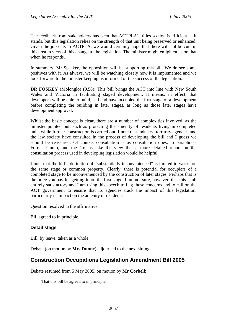<span id="page-10-0"></span>The feedback from stakeholders has been that ACTPLA's titles section is efficient as it stands, but this legislation relies on the strength of that unit being preserved or enhanced. Given the job cuts in ACTPLA, we would certainly hope that there will not be cuts in this area in view of this change to the legislation. The minister might enlighten us on that when he responds.

In summary, Mr Speaker, the opposition will be supporting this bill. We do see some positives with it. As always, we will be watching closely how it is implemented and we look forward to the minister keeping us informed of the success of the legislation.

**DR FOSKEY** (Molonglo) (9.58): This bill brings the ACT into line with New South Wales and Victoria in facilitating staged development. It means, in effect, that developers will be able to build, sell and have occupied the first stage of a development before completing the building in later stages, as long as those later stages have development approval.

Whilst the basic concept is clear, there are a number of complexities involved, as the minister pointed out, such as protecting the amenity of residents living in completed units while further construction is carried out. I note that industry, territory agencies and the law society have consulted in the process of developing the bill and I guess we should be reassured. Of course, consultation is as consultation does, to paraphrase Forrest Gump, and the Greens take the view that a more detailed report on the consultation process used in developing legislation would be helpful.

I note that the bill's definition of "substantially inconvenienced" is limited to works on the same stage or common property. Clearly, there is potential for occupiers of a completed stage to be inconvenienced by the construction of later stages. Perhaps that is the price you pay for getting in on the first stage. I am not sure, however, that this is all entirely satisfactory and I am using this speech to flag those concerns and to call on the ACT government to ensure that its agencies track the impact of this legislation, particularly its impact on the amenity of residents.

Question resolved in the affirmative.

Bill agreed to in principle.

### **Detail stage**

Bill, by leave, taken as a whole.

Debate (on motion by **Mrs Dunne**) adjourned to the next sitting.

# **Construction Occupations Legislation Amendment Bill 2005**

Debate resumed from 5 May 2005, on motion by **Mr Corbell**:

That this bill be agreed to in principle.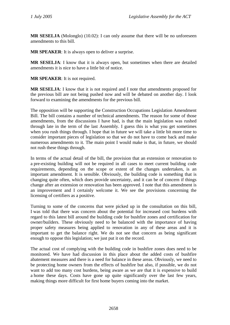**MR SESELJA** (Molonglo) (10.02): I can only assume that there will be no unforeseen amendments to this bill.

**MR SPEAKER**: It is always open to deliver a surprise.

**MR SESELJA**: I know that it is always open, but sometimes when there are detailed amendments it is nice to have a little bit of notice.

**MR SPEAKER**: It is not required.

**MR SESELJA**: I know that it is not required and I note that amendments proposed for the previous bill are not being pushed now and will be debated on another day. I look forward to examining the amendments for the previous bill.

The opposition will be supporting the Construction Occupations Legislation Amendment Bill. The bill contains a number of technical amendments. The reason for some of those amendments, from the discussions I have had, is that the main legislation was rushed through late in the term of the last Assembly. I guess this is what you get sometimes when you rush things through. I hope that in future we will take a little bit more time to consider important pieces of legislation so that we do not have to come back and make numerous amendments to it. The main point I would make is that, in future, we should not rush these things through.

In terms of the actual detail of the bill, the provision that an extension or renovation to a pre-existing building will not be required in all cases to meet current building code requirements, depending on the scope or extent of the changes undertaken, is an important amendment. It is sensible. Obviously, the building code is something that is changing quite often, which does provide uncertainty, and it can be of concern if things change after an extension or renovation has been approved. I note that this amendment is an improvement and I certainly welcome it. We see the provisions concerning the licensing of certifiers as a positive.

Turning to some of the concerns that were picked up in the consultation on this bill, I was told that there was concern about the potential for increased cost burdens with regard to this latest bill around the building code for bushfire zones and certification for owner/builders. These obviously need to be balanced with the importance of having proper safety measures being applied to renovation in any of these areas and it is important to get the balance right. We do not see that concern as being significant enough to oppose this legislation; we just put it on the record.

The actual cost of complying with the building code in bushfire zones does need to be monitored. We have had discussion in this place about the added costs of bushfire abatement measures and there is a need for balance in these areas. Obviously, we need to be protecting home owners from the effects of bushfire but also, if possible, we do not want to add too many cost burdens, being aware as we are that it is expensive to build a home these days. Costs have gone up quite significantly over the last few years, making things more difficult for first home buyers coming into the market.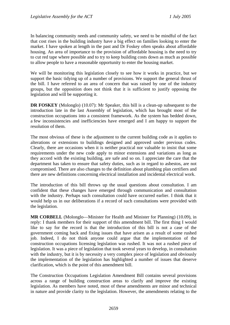In balancing community needs and community safety, we need to be mindful of the fact that cost rises in the building industry have a big effect on families looking to enter the market. I have spoken at length in the past and Dr Foskey often speaks about affordable housing. An area of importance to the provision of affordable housing is the need to try to cut red tape where possible and to try to keep building costs down as much as possible to allow people to have a reasonable opportunity to enter the housing market.

We will be monitoring this legislation closely to see how it works in practice, but we support the basic tidying up of a number of provisions. We support the general thrust of the bill. I have referred to an area of concern that was raised by one of the industry groups, but the opposition does not think that it is sufficient to justify opposing the legislation and will be supporting it.

**DR FOSKEY** (Molonglo) (10.07): Mr Speaker, this bill is a clean-up subsequent to the introduction late in the last Assembly of legislation, which has brought most of the construction occupations into a consistent framework. As the system has bedded down, a few inconsistencies and inefficiencies have emerged and I am happy to support the resolution of them.

The most obvious of these is the adjustment to the current building code as it applies to alterations or extensions to buildings designed and approved under previous codes. Clearly, there are occasions when it is neither practical nor valuable to insist that some requirements under the new code apply to minor extensions and variations as long as they accord with the existing building, are safe and so on. I appreciate the care that the department has taken to ensure that safety duties, such as in regard to asbestos, are not compromised. There are also changes to the definition about plumbing plan certifiers and there are new definitions concerning electrical installation and incidental electrical work.

The introduction of this bill throws up the usual questions about consultation. I am confident that these changes have emerged through communication and consultation with the industry. Perhaps such consultation could have occurred earlier. I think that it would help us in our deliberations if a record of such consultations were provided with the legislation.

**MR CORBELL** (Molonglo—Minister for Health and Minister for Planning) (10.09), in reply: I thank members for their support of this amendment bill. The first thing I would like to say for the record is that the introduction of this bill is not a case of the government coming back and fixing issues that have arisen as a result of some rushed job. Indeed, I do not think anyone could argue that the implementation of the construction occupations licensing legislation was rushed. It was not a rushed piece of legislation. It was a piece of legislation that took several years to develop, in consultation with the industry, but it is by necessity a very complex piece of legislation and obviously the implementation of the legislation has highlighted a number of issues that deserve clarification, which is the point of this amendment bill.

The Construction Occupations Legislation Amendment Bill contains several provisions across a range of building construction areas to clarify and improve the existing legislation. As members have noted, most of these amendments are minor and technical in nature and provide clarity to the legislation. However, the amendments relating to the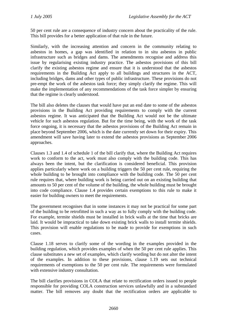50 per cent rule are a consequence of industry concern about the practicality of the rule. This bill provides for a better application of that rule in the future.

Similarly, with the increasing attention and concern in the community relating to asbestos in homes, a gap was identified in relation to in situ asbestos in public infrastructure such as bridges and dams. The amendments recognise and address this issue by regularising existing industry practice. The asbestos provisions of this bill clarify the existing asbestos regime and ensure that it is understood that the asbestos requirements in the Building Act apply to all buildings and structures in the ACT, including bridges, dams and other types of public infrastructure. These provisions do not pre-empt the work of the asbestos task force; they simply clarify the regime. This will make the implementation of any recommendations of the task force simpler by ensuring that the regime is clearly understood.

The bill also deletes the clauses that would have put an end date to some of the asbestos provisions in the Building Act providing requirements to comply with the current asbestos regime. It was anticipated that the Building Act would not be the ultimate vehicle for such asbestos regulation. But for the time being, with the work of the task force ongoing, it is necessary that the asbestos provisions of the Building Act remain in place beyond September 2006, which is the date currently set down for their expiry. This amendment will save having later to extend the asbestos provisions as September 2006 approaches.

Clauses 1.3 and 1.4 of schedule 1 of the bill clarify that, where the Building Act requires work to conform to the act, work must also comply with the building code. This has always been the intent, but the clarification is considered beneficial. This provision applies particularly where work on a building triggers the 50 per cent rule, requiring the whole building to be brought into compliance with the building code. The 50 per cent rule requires that, where building work is being carried out on an existing building that amounts to 50 per cent of the volume of the building, the whole building must be brought into code compliance. Clause 1.4 provides certain exemptions to this rule to make it easier for building owners to meet the requirements.

The government recognises that in some instances it may not be practical for some part of the building to be retrofitted in such a way as to fully comply with the building code. For example, termite shields must be installed in brick walls at the time that bricks are laid. It would be impractical to take down existing brick walls to install termite shields. This provision will enable regulations to be made to provide for exemptions in such cases.

Clause 1.18 serves to clarify some of the wording in the examples provided in the building regulation, which provides examples of when the 50 per cent rule applies. This clause substitutes a new set of examples, which clarify wording but do not alter the intent of the examples. In addition to these provisions, clause 1.19 sets out technical requirements of exemptions to the 50 per cent rule. The requirements were formulated with extensive industry consultation.

The bill clarifies provisions in COLA that relate to rectification orders issued to people responsible for providing COLA construction services unlawfully and in a substandard matter. The bill removes any doubt that the rectification orders are applicable to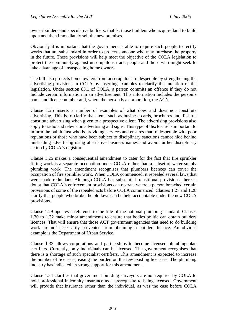owner/builders and speculative builders, that is, those builders who acquire land to build upon and then immediately sell the new premises.

Obviously it is important that the government is able to require such people to rectify works that are substandard in order to protect someone who may purchase the property in the future. These provisions will help meet the objective of the COLA legislation to protect the community against unscrupulous tradespeople and those who might seek to take advantage of unsuspecting home owners.

The bill also protects home owners from unscrupulous tradespeople by strengthening the advertising provisions in COLA by inserting examples to clarify the intention of the legislation. Under section 83.1 of COLA, a person commits an offence if they do not include certain information in an advertisement. This information includes the person's name and licence number and, where the person is a corporation, the ACN.

Clause 1.25 inserts a number of examples of what does and does not constitute advertising. This is to clarify that items such as business cards, brochures and T-shirts constitute advertising when given to a prospective client. The advertising provisions also apply to radio and television advertising and signs. This type of disclosure is important to inform the public just who is providing services and ensures that tradespeople with poor reputations or those who have been subject to disciplinary sanctions cannot hide behind misleading advertising using alternative business names and avoid further disciplinary action by COLA's registrar.

Clause 1.26 makes a consequential amendment to cater for the fact that fire sprinkler fitting work is a separate occupation under COLA rather than a subset of water supply plumbing work. The amendment recognises that plumbers licences can cover the occupation of fire sprinkler work. When COLA commenced, it repealed several laws that were made redundant. Although COLA has substantial transitional provisions, there is doubt that COLA's enforcement provisions can operate where a person breached certain provisions of some of the repealed acts before COLA commenced. Clauses 1.27 and 1.28 clarify that people who broke the old laws can be held accountable under the new COLA provisions.

Clause 1.29 updates a reference to the title of the national plumbing standard. Clauses 1.30 to 1.32 make minor amendments to ensure that bodies politic can obtain builders licences. That will ensure that those ACT government agencies that need to do building work are not necessarily prevented from obtaining a builders licence. An obvious example is the Department of Urban Service.

Clause 1.33 allows corporations and partnerships to become licensed plumbing plan certifiers. Currently, only individuals can be licensed. The government recognises that there is a shortage of such specialist certifiers. This amendment is expected to increase the number of licensees, easing the burden on the few existing licensees. The plumbing industry has indicated its strong support for this amendment.

Clause 1.34 clarifies that government building surveyors are not required by COLA to hold professional indemnity insurance as a prerequisite to being licensed. Government will provide that insurance rather than the individual, as was the case before COLA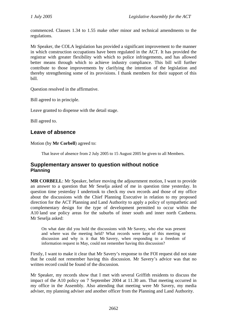<span id="page-15-0"></span>commenced. Clauses 1.34 to 1.55 make other minor and technical amendments to the regulations.

Mr Speaker, the COLA legislation has provided a significant improvement to the manner in which construction occupations have been regulated in the ACT. It has provided the registrar with greater flexibility with which to police infringements, and has allowed better means through which to achieve industry compliance. This bill will further contribute to those improvements by clarifying the intention of the legislation and thereby strengthening some of its provisions. I thank members for their support of this bill.

Question resolved in the affirmative.

Bill agreed to in principle.

Leave granted to dispense with the detail stage.

Bill agreed to.

# **Leave of absence**

Motion (by **Mr Corbell**) agreed to:

That leave of absence from 2 July 2005 to 15 August 2005 be given to all Members.

## **Supplementary answer to question without notice Planning**

**MR CORBELL**: Mr Speaker, before moving the adjournment motion, I want to provide an answer to a question that Mr Seselja asked of me in question time yesterday. In question time yesterday I undertook to check my own records and those of my office about the discussions with the Chief Planning Executive in relation to my proposed direction for the ACT Planning and Land Authority to apply a policy of sympathetic and complementary design for the type of development permitted to occur within the A10 land use policy areas for the suburbs of inner south and inner north Canberra. Mr Seselja asked:

On what date did you hold the discussions with Mr Savery, who else was present and where was the meeting held? What records were kept of this meeting or discussion and why is it that Mr Savery, when responding to a freedom of information request in May, could not remember having this discussion?

Firstly, I want to make it clear that Mr Savery's response to the FOI request did not state that he could not remember having this discussion. Mr Savery's advice was that no written record could be found of the discussion.

Mr Speaker, my records show that I met with several Griffith residents to discuss the impact of the A10 policy on 7 September 2004 at 11.30 am. That meeting occurred in my office in the Assembly. Also attending that meeting were Mr Savery, my media adviser, my planning adviser and another officer from the Planning and Land Authority.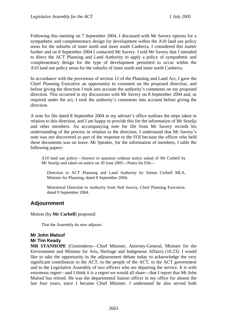<span id="page-16-0"></span>Following this meeting on 7 September 2004, I discussed with Mr Savery options for a sympathetic and complementary design for development within the A10 land use policy areas for the suburbs of inner north and inner south Canberra. I considered this matter further and on 8 September 2004 I contacted Mr Savery. I told Mr Savery that I intended to direct the ACT Planning and Land Authority to apply a policy of sympathetic and complementary design for the type of development permitted to occur within the A10 land use policy areas for the suburbs of inner south and inner north Canberra.

In accordance with the provisions of section 12 of the Planning and Land Act, I gave the Chief Planning Executive an opportunity to comment on the proposed direction, and before giving the direction I took into account the authority's comments on my proposed direction. This occurred in my discussions with Mr Savery on 8 September 2004 and, as required under the act, I took the authority's comments into account before giving the direction.

A note for file dated 8 September 2004 in my adviser's office outlines the steps taken in relation to this direction, and I am happy to provide this for the information of Mr Seselja and other members. An accompanying note for file from Mr Savery records his understanding of the process in relation to the direction. I understand that Mr Savery's note was not discovered as part of the response to the FOI because the officer who held these documents was on leave. Mr Speaker, for the information of members, I table the following papers:

A10 land use policy—Answer to question without notice asked of Mr Corbell by Mr Seselja and taken on notice on 30 June 2005—Notes for File—

Direction to ACT Planning and Land Authority by Simon Corbell MLA, Minister for Planning, dated 8 September 2004.

Ministerial Direction to Authority from Neil Savery, Chief Planning Executive, dated 9 September 2004.

# **Adjournment**

Motion (by **Mr Corbell**) proposed:

That the Assembly do now adjourn.

### **Mr John Malouf Mr Tim Keady**

**MR STANHOPE** (Ginninderra—Chief Minister, Attorney-General, Minister for the Environment and Minister for Arts, Heritage and Indigenous Affairs) (10.23): I would like to take the opportunity in the adjournment debate today to acknowledge the very significant contribution to the ACT, to the people of the ACT, to the ACT government and to the Legislative Assembly of two officers who are departing the service. It is with enormous regret—and I think it is a regret we would all share—that I report that Mr John Malouf has retired. He was the departmental liaison officer in my office for almost the last four years, since I became Chief Minister. I understand he also served both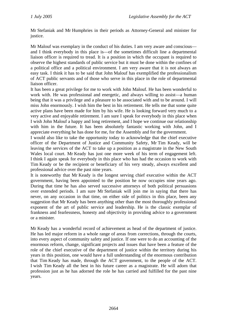Mr Stefaniak and Mr Humphries in their periods as Attorney-General and minister for justice.

Mr Malouf was exemplary in the conduct of his duties. I am very aware and conscious and I think everybody in this place is—of the sometimes difficult line a departmental liaison officer is required to tread. It is a position in which the occupant is required to observe the highest standards of public service but it must be done within the confines of a political office and a political environment. I am very aware that it is not always an easy task. I think it has to be said that John Malouf has exemplified the professionalism of ACT public servants and of those who serve in this place in the role of departmental liaison officer.

It has been a great privilege for me to work with John Malouf. He has been wonderful to work with. He was professional and energetic, and always willing to assist—a human being that it was a privilege and a pleasure to be associated with and to be around. I will miss John enormously. I wish him the best in his retirement. He tells me that some quite active plans have been made for him by his wife. He is looking forward very much to a very active and enjoyable retirement. I am sure I speak for everybody in this place when I wish John Malouf a happy and long retirement, and I hope we continue our relationship with him in the future. It has been absolutely fantastic working with John, and I appreciate everything he has done for me, for the Assembly and for the government.

I would also like to take the opportunity today to acknowledge that the chief executive officer of the Department of Justice and Community Safety, Mr Tim Keady, will be leaving the services of the ACT to take up a position as a magistrate in the New South Wales local court. Mr Keady has just one more week of his term of engagement left. I think I again speak for everybody in this place who has had the occasion to work with Tim Keady or be the recipient or beneficiary of his very steady, always excellent and professional advice over the past nine years.

It is noteworthy that Mr Keady is the longest serving chief executive within the ACT government, having been appointed to the position he now occupies nine years ago. During that time he has also served successive attorneys of both political persuasions over extended periods. I am sure Mr Stefaniak will join me in saying that there has never, on any occasion in that time, on either side of politics in this place, been any suggestion that Mr Keady has been anything other than the most thoroughly professional exponent of the art of public service and leadership. He is the classic exemplar of frankness and fearlessness, honesty and objectivity in providing advice to a government or a minister.

Mr Keady has a wonderful record of achievement as head of the department of justice. He has led major reform in a whole range of areas from corrections, through the courts, into every aspect of community safety and justice. If one were to do an accounting of the enormous reform, change, significant projects and issues that have been a feature of the role of the chief executive of the department of justice within the territory during his years in this position, one would have a full understanding of the enormous contribution that Tim Keady has made, through the ACT government, to the people of the ACT. I wish Tim Keady all the best in his future career as a magistrate. He will adorn that profession just as he has adorned the role he has carried and fulfilled for the past nine years.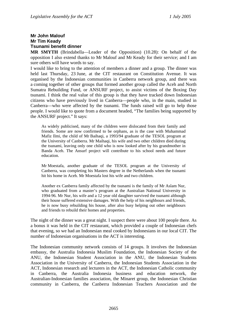## <span id="page-18-0"></span>**Mr John Malouf Mr Tim Keady Tsunami benefit dinner**

**MR SMYTH** (Brindabella—Leader of the Opposition) (10.28): On behalf of the opposition I also extend thanks to Mr Malouf and Mr Keady for their service; and I am sure others will have words to say.

I would like to bring to the attention of members a dinner and a group. The dinner was held last Thursday, 23 June, at the CIT restaurant on Constitution Avenue. It was organised by the Indonesian communities in Canberra network group, and there was a coming together of other groups that formed another group called the Aceh and North Sumatra Rebuilding Fund, or ANSURF project, to assist victims of the Boxing Day tsunami. I think the real value of this group is that they have tracked down Indonesian citizens who have previously lived in Canberra—people who, in the main, studied in Canberra—who were affected by the tsunami. The funds raised will go to help those people. I would like to quote from a document headed, "The families being supported by the ANSURF project." It says:

As widely publicised, many of the children were dislocated from their family and friends. Some are now confirmed to be orphans, as is the case with Muhammad Mafiz Ilmi, the child of Mr Baihaqi, a 1993/94 graduate of the TESOL program at the University of Canberra. Mr Maihaqi, his wife and two other children died during the tsunami, leaving only one child who is now looked after by his grandmother in Banda Aceh. The Ansurf project will contribute to his school needs and future education.

Mr Moestafa, another graduate of the TESOL program at the University of Canberra, was completing his Masters degree in the Netherlands when the tsunami hit his home in Aceh. Mr Moestafa lost his wife and two children.

Another ex Canberra family affected by the tsunami is the family of Mr Aslam Nur, who graduated from a master's program at the Australian National University in 1994-96. Mr Nur, his wife and a 12 year old daughter survived the tsunami although their house suffered extensive damages. With the help of his neighbours and friends, he is now busy rebuilding his house, after also busy helping out other neighbours and friends to rebuild their homes and properties.

The night of the dinner was a great night. I suspect there were about 100 people there. As a bonus it was held in the CIT restaurant, which provided a couple of Indonesian chefs that evening, so we had an Indonesian meal cooked by Indonesians in our local CIT. The number of Indonesian organisations in the ACT is interesting.

The Indonesian community network consists of 14 groups. It involves the Indonesian embassy, the Australia Indonesia Muslim Foundation, the Indonesian Society of the ANU, the Indonesian Student Association in the ANU, the Indonesian Students Association in the University of Canberra, the Indonesian Students Association in the ACT, Indonesian research and lecturers in the ACT, the Indonesian Catholic community in Canberra, the Australia Indonesia business and education network, the Australian-Indonesian families association, the Minaret group, the Indonesian Christian community in Canberra, the Canberra Indonesian Teachers Association and the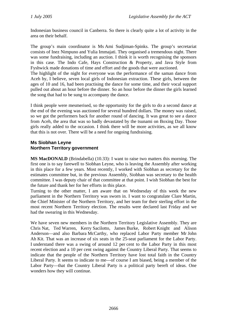<span id="page-19-0"></span>Indonesian business council in Canberra. So there is clearly quite a lot of activity in the area on their behalf.

The group's main coordinator is Ms Ami Sudjiman-Spinks. The group's secretariat consists of Inez Nimpuno and Yulia Immajati. They organised a tremendous night. There was some fundraising, including an auction. I think it is worth recognising the sponsors in this case. The Indo Cafe, Hays Construction & Property, and Java Style from Fyshwick made donations of time and effort and the goods that were auctioned.

The highlight of the night for everyone was the performance of the saman dance from Aceh by, I believe, seven local girls of Indonesian extraction. These girls, between the ages of 10 and 16, had been practising the dance for some time, and their vocal support pulled out about an hour before the dinner. So an hour before the dinner the girls learned the song that had to be sung to accompany the dance.

I think people were mesmerised, so the opportunity for the girls to do a second dance at the end of the evening was auctioned for several hundred dollars. The money was raised, so we got the performers back for another round of dancing. It was great to see a dance from Aceh, the area that was so badly devastated by the tsunami on Boxing Day. Those girls really added to the occasion. I think there will be more activities, as we all know that this is not over. There will be a need for ongoing fundraising.

## **Ms Siobhan Leyne Northern Territory government**

**MS MacDONALD** (Brindabella) (10.33): I want to raise two matters this morning. The first one is to say farewell to Siobhan Leyne, who is leaving the Assembly after working in this place for a few years. Most recently, I worked with Siobhan as secretary for the estimates committee but, in the previous Assembly, Siobhan was secretary to the health committee. I was deputy chair of that committee at that point. I wish Siobhan the best for the future and thank her for her efforts in this place.

Turning to the other matter, I am aware that on Wednesday of this week the new parliament in the Northern Territory was sworn in. I want to congratulate Clare Martin, the Chief Minister of the Northern Territory, and her team for their sterling effort in the most recent Northern Territory election. The results were declared last Friday and we had the swearing in this Wednesday.

We have seven new members in the Northern Territory Legislative Assembly. They are Chris Nat, Ted Warren, Kerry Sacilotto, James Burke, Robert Knight and Alison Anderson—and also Barbara McCarthy, who replaced Labor Party member Mr John Ah Kit. That was an increase of six seats in the 25-seat parliament for the Labor Party. I understand there was a swing of around 12 per cent to the Labor Party in this most recent election and a 10 per cent swing against the Country Liberal Party. That seems to indicate that the people of the Northern Territory have lost total faith in the Country Liberal Party. It seems to indicate to me—of course I am biased, being a member of the Labor Party—that the Country Liberal Party is a political party bereft of ideas. One wonders how they will continue.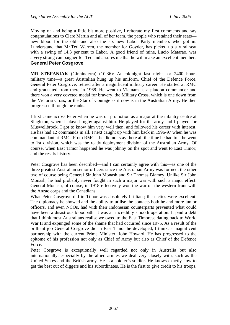<span id="page-20-0"></span>Moving on and being a little bit more positive, I reiterate my first comments and say congratulations to Clare Martin and all of her team, the people who retained their seats new blood for the old—and also the six new Labor Party members who got in. I understand that Mr Ted Warren, the member for Goyder, has picked up a rural seat with a swing of 14.3 per cent to Labor. A good friend of mine, Lucio Matarao, was a very strong campaigner for Ted and assures me that he will make an excellent member. **General Peter Cosgrove** 

**MR STEFANIAK** (Ginninderra) (10.36): At midnight last night—or 2400 hours military time—a great Australian hung up his uniform. Chief of the Defence Force, General Peter Cosgrove, retired after a magnificent military career. He started at RMC and graduated from there in 1968. He went to Vietnam as a platoon commander and there won a very coveted medal for bravery, the Military Cross, which is one down from the Victoria Cross, or the Star of Courage as it now is in the Australian Army. He then progressed through the ranks.

I first came across Peter when he was on promotion as a major at the infantry centre at Singleton, where I played rugby against him. He played for the army and I played for Muswellbrook. I got to know him very well then, and followed his career with interest. He has had 12 commands in all. I next caught up with him back in 1996-97 when he was commandant at RMC. From RMC—he did not stay there all the time he had to—he went to 1st division, which was the ready deployment division of the Australian Army. Of course, when East Timor happened he was johnny on the spot and went to East Timor; and the rest is history.

Peter Cosgrove has been described—and I can certainly agree with this—as one of the three greatest Australian senior officers since the Australian Army was formed, the other two of course being General Sir John Monash and Sir Thomas Blamey. Unlike Sir John Monash, he had probably never fought in such a major war with such a major effect. General Monash, of course, in 1918 effectively won the war on the western front with the Anzac corps and the Canadians.

What Peter Cosgrove did in Timor was absolutely brilliant; the tactics were excellent. The diplomacy he showed and the ability to utilise the contacts both he and more junior officers, and even NCOs, had with their Indonesian counterparts prevented what could have been a disastrous bloodbath. It was an incredibly smooth operation. It paid a debt that I think most Australians realise we owed to the East Timorese dating back to World War II and expunged some of the shame that had occurred since 1975. As a result of the brilliant job General Cosgrove did in East Timor he developed, I think, a magnificent partnership with the current Prime Minister, John Howard. He has progressed to the epitome of his profession not only as Chief of Army but also as Chief of the Defence Force.

Peter Cosgrove is exceptionally well regarded not only in Australia but also internationally, especially by the allied armies we deal very closely with, such as the United States and the British army. He is a soldier's soldier. He knows exactly how to get the best out of diggers and his subordinates. He is the first to give credit to his troops,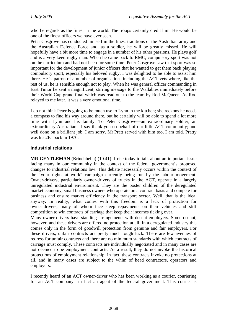<span id="page-21-0"></span>who he regards as the finest in the world. The troops certainly credit him. He would be one of the finest officers we have ever seen.

Peter Cosgrove has conducted himself in the finest traditions of the Australian army and the Australian Defence Force and, as a soldier, he will be greatly missed. He will hopefully have a bit more time to engage in a number of his other passions. He plays golf and is a very keen rugby man. When he came back to RMC, compulsory sport was not on the curriculum and had not been for some time. Peter Cosgrove saw that sport was so important for the development of junior officers that he wanted to get them back playing compulsory sport, especially his beloved rugby. I was delighted to be able to assist him there. He is patron of a number of organisations including the ACT vets where, like the rest of us, he is sensible enough not to play. When he was general officer commanding in East Timor he sent a magnificent, stirring message to the Wallabies immediately before their World Cup grand final which was read out to the team by Rod McQueen. As Rod relayed to me later, it was a very emotional time.

I do not think Peter is going to be much use to Lynn in the kitchen; she reckons he needs a compass to find his way around there, but he certainly will be able to spend a lot more time with Lynn and his family. To Peter Cosgrove—an extraordinary soldier, an extraordinary Australian—I say thank you on behalf of our little ACT community; and well done on a brilliant job. I am sorry. Mr Pratt served with him too, I am told. Pratty was his 2IC back in 1976.

### **Industrial relations**

**MR GENTLEMAN** (Brindabella) (10.41): I rise today to talk about an important issue facing many in our community in the context of the federal government's proposed changes to industrial relations law. This debate necessarily occurs within the context of the "your rights at work" campaign currently being run by the labour movement. Owner-drivers, particularly owner-drivers of trucks in the ACT, operate in a largely unregulated industrial environment. They are the poster children of the deregulated market economy, small business owners who operate on a contract basis and compete for business and ensure market efficiency in the transport sector. Well, that is the idea, anyway. In reality, what comes with this freedom is a lack of protection for owner-drivers, many of whom face steep repayments on their vehicles and stiff competition to win contracts of carriage that keep their incomes ticking over.

Many owner-drivers have standing arrangements with decent employers. Some do not, however, and these drivers are offered no protection at all. In a deregulated industry this comes only in the form of goodwill protection from genuine and fair employers. For these drivers, unfair contracts are pretty much tough luck. There are few avenues of redress for unfair contracts and there are no minimum standards with which contracts of carriage must comply. These contracts are individually negotiated and in many cases are not deemed to be employment contracts. As a result, they do not invoke the historical protections of employment relationship. In fact, these contracts invoke no protections at all, and in many cases are subject to the whim of head contractors, operators and employers.

I recently heard of an ACT owner-driver who has been working as a courier, couriering for an ACT company—in fact an agent of the federal government. This courier is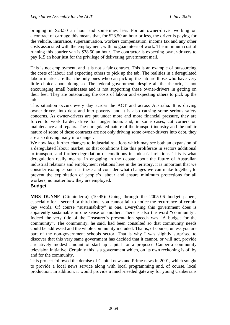<span id="page-22-0"></span>bringing in \$23.50 an hour and sometimes less. For an owner-driver working on a contract of carriage this means that, for \$23.50 an hour or less, the driver is paying for the vehicle, insurance, superannuation, workers compensation, income tax and any other costs associated with the employment, with no guarantees of work. The minimum cost of running this courier van is \$38.50 an hour. The contractor is expecting owner-drivers to pay \$15 an hour just for the privilege of delivering government mail.

This is not employment, and it is not a fair contract. This is an example of outsourcing the costs of labour and expecting others to pick up the tab. The realities in a deregulated labour market are that the only ones who can pick up the tab are those who have very little choice about doing so. The federal government, despite all the rhetoric, is not encouraging small businesses and is not supporting these owner-drivers in getting on their feet. They are outsourcing the costs of labour and expecting others to pick up the tab.

This situation occurs every day across the ACT and across Australia. It is driving owner-drivers into debt and into poverty, and it is also causing some serious safety concerns. As owner-drivers are put under more and more financial pressure, they are forced to work harder, drive for longer hours and, in some cases, cut corners on maintenance and repairs. The unregulated nature of the transport industry and the unfair nature of some of these contracts are not only driving some owner-drivers into debt, they are also driving many into danger.

We now face further changes to industrial relations which may see both an expansion of a deregulated labour market, so that conditions like this proliferate in sectors additional to transport, and further degradation of conditions in industrial relations. This is what deregulation really means. In engaging in the debate about the future of Australian industrial relations and employment relations here in the territory, it is important that we consider examples such as these and consider what changes we can make together, to prevent the exploitation of people's labour and ensure minimum protections for all workers, no matter how they are employed.

### **Budget**

**MRS DUNNE** (Ginninderra) (10.45): Going through the 2005-06 budget papers, especially for a second or third time, you cannot fail to notice the recurrence of certain key words. Of course "sustainability" is one. Everything this government does is apparently sustainable in one sense or another. There is also the word "community". Indeed the very title of the Treasurer's presentation speech was "A budget for the community". The community, he said, had been consulted so that community needs could be addressed and the whole community included. That is, of course, unless you are part of the non-government schools sector. That is why I was slightly surprised to discover that this very same government has decided that it cannot, or will not, provide a relatively modest amount of start up capital for a proposed Canberra community television initiative. Certainly this is a government which, on its own reckoning is of, by and for the community.

This project followed the demise of Capital news and Prime news in 2001, which sought to provide a local news service along with local programming and, of course, local production. In addition, it would provide a much-needed gateway for young Canberrans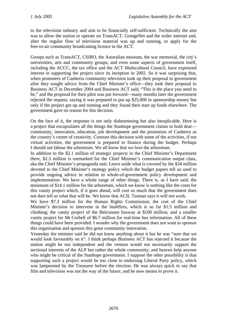to the television industry and aim to be financially self-sufficient. Technically the aim was to allow the station to operate on TransACT, GrangeNet and the wider internet and, after the regular flow of television material was up and running, to apply for the free-to-air community broadcasting licence in the ACT.

Groups such as TransACT, CSIRO, the Australian museum, the war memorial, the city's universities, arts and community groups, and even some aspects of government itself, including the ACCC, the tax office and the ACT Multicultural Council, have expressed interest in supporting the project since its inception in 2002. So it was surprising that, when promoters of Canberra community television took up their proposal to government after they sought advice from the Chief Minister's office—they took their proposal to Business ACT in December 2004 and Business ACT said, "This is the place you need to be," and the proposal for their pilot was put forward—many months later the government rejected the request, saying it was prepared to put up \$25,000 in sponsorship money but only if the project got up and running and they found their start up funds elsewhere. The government gave no reason for this decision.

On the face of it, the response is not only disheartening but also inexplicable. Here is a project that encapsulates all the things the Stanhope government claims to hold dear community, innovation, education, job development and the promotion of Canberra as the country's centre of creativity. Contrast this decision with some of the activities, if not virtual activities, the government is prepared to finance during the budget. Perhaps I should not labour the arboretum. We all know that we love the arboretum.

In addition to the \$2.1 million of strategic projects in the Chief Minister's Department there, \$2.3 million is earmarked for the Chief Minister's communication output class, aka the Chief Minister's propaganda unit. Leave aside what is covered by the \$34 million devoted to the Chief Minister's strategy policy which the budget papers tell us used to provide ongoing advice in relation to whole-of-government policy development and implementation. We have a whole range of other things. There is, as I have said, the minimum of \$14.1 million for the arboretum, which we know is nothing like the costs for this vanity project which, if it goes ahead, will cost so much that the government does not dare tell us what that will be. We know that ACIL Tasman says it will not work.

We have \$7.3 million for the Human Rights Commission; the cost of the Chief Minister's decision to intervene in the bushfires, which is so far \$1.5 million and climbing; the vanity project of the Belconnen busway at \$100 million; and a smaller vanity project for Mr Corbell of \$6.7 million for real-time bus information. All of these things could have been provided. I wonder why the government does not want to sponsor this organisation and sponsor this great community innovation.

Yesterday the minister said he did not know anything about it but he was "sure that we would look favourably on it". I think perhaps Business ACT has rejected it because the station might be too independent and the venture would not necessarily support the sectional interests of the ALP but rather the whole community; and heaven help anyone who might be critical of the Stanhope government. I suppose the other possibility is that supporting such a project would be too close to endorsing Liberal Party policy, which was lampooned by the Treasurer before the election. He was always quick to say that film and television was not the way of the future, and he now means to prove it.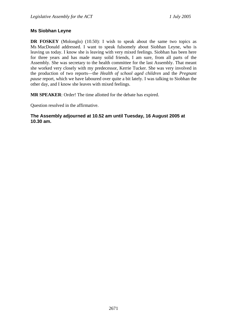### <span id="page-24-0"></span>**Ms Siobhan Leyne**

**DR FOSKEY** (Molonglo) (10.50): I wish to speak about the same two topics as Ms MacDonald addressed. I want to speak fulsomely about Siobhan Leyne, who is leaving us today. I know she is leaving with very mixed feelings. Siobhan has been here for three years and has made many solid friends, I am sure, from all parts of the Assembly. She was secretary to the health committee for the last Assembly. That meant she worked very closely with my predecessor, Kerrie Tucker. She was very involved in the production of two reports—the *Health of school aged children* and the *Pregnant pause* report, which we have laboured over quite a bit lately. I was talking to Siobhan the other day, and I know she leaves with mixed feelings.

**MR SPEAKER**: Order! The time allotted for the debate has expired.

Question resolved in the affirmative.

### **The Assembly adjourned at 10.52 am until Tuesday, 16 August 2005 at 10.30 am.**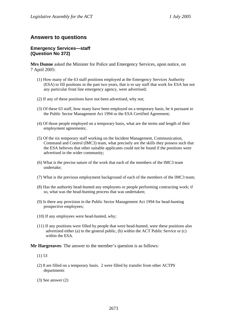# <span id="page-25-0"></span>**Answers to questions**

### **Emergency Services—staff (Question No 372)**

**Mrs Dunne** asked the Minister for Police and Emergency Services, upon notice, on 7 April 2005:

- (1) How many of the 63 staff positions employed at the Emergency Services Authority (ESA) to fill positions in the past two years, that is to say staff that work for ESA but not any particular front line emergency agency, were advertised;
- (2) If any of these positions have not been advertised, why not;
- (3) Of these 63 staff, how many have been employed on a temporary basis, be it pursuant to the Public Sector Management Act 1994 or the ESA Certified Agreement;
- (4) Of those people employed on a temporary basis, what are the terms and length of their employment agreements;
- (5) Of the six temporary staff working on the Incident Management, Communication, Command and Control (IMC3) team, what precisely are the skills they possess such that the ESA believes that other suitable applicants could not be found if the positions were advertised in the wider community;
- (6) What is the precise nature of the work that each of the members of the IMC3 team undertake;
- (7) What is the previous employment background of each of the members of the IMC3 team;
- (8) Has the authority head-hunted any employees or people performing contracting work; if so, what was the head-hunting process that was undertaken;
- (9) Is there any provision in the Public Sector Management Act 1994 for head-hunting prospective employees;
- (10) If any employees were head-hunted, why;
- (11) If any positions were filled by people that were head-hunted, were these positions also advertised either (a) to the general public, (b) within the ACT Public Service or (c) within the ESA.

- (1) 53
- (2) 8 are filled on a temporary basis. 2 were filled by transfer from other ACTPS departments
- (3) See answer (2)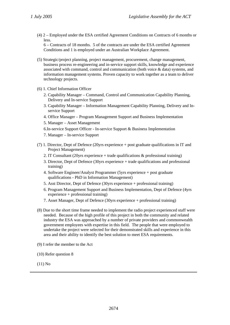(4) 2 – Employed under the ESA certified Agreement Conditions on Contracts of 6 months or less.

6 – Contracts of 18 months. 5 of the contracts are under the ESA certified Agreement Conditions and 1 is employed under an Australian Workplace Agreement.

- (5) Strategic/project planning, project management, procurement, change management, business process re-engineering and in-service support skills, knowledge and experience associated with command, control and communication (both voice & data) systems, and information management systems. Proven capacity to work together as a team to deliver technology projects.
- (6) 1. Chief Information Officer
	- 2. Capability Manager Command, Control and Communication Capability Planning, Delivery and In-service Support
	- 3. Capability Manager Information Management Capability Planning, Delivery and Inservice Support
	- 4. Office Manager Program Management Support and Business Implementation
	- 5. Manager Asset Management
	- 6.In-service Support Officer In-service Support & Business Implementation
	- 7. Manager In-service Support
- (7) 1. Director, Dept of Defence (20yrs experience + post graduate qualifications in IT and Project Management)
	- 2. IT Consultant (20yrs experience + trade qualifications  $\&$  professional training)
	- 3. Director, Dept of Defence (30yrs experience + trade qualifications and professional training)
	- 4. Software Engineer/Analyst Programmer (5yrs experience + post graduate qualifications - PhD in Information Management)
	- 5. Asst Director, Dept of Defence (30yrs experience + professional training)
	- 6. Program Management Support and Business Implementation, Dept of Defence (4yrs experience + professional training)
	- 7. Asset Manager, Dept of Defence (30yrs experience + professional training)
- (8) Due to the short time frame needed to implement the radio project experienced staff were needed. Because of the high profile of this project in both the community and related industry the ESA was approached by a number of private providers and commonwealth government employees with expertise in this field. The people that were employed to undertake the project were selected for their demonstrated skills and experience in this area and their ability to identify the best solution to meet ESA requirements.
- (9) I refer the member to the Act
- (10) Refer question 8
- (11) No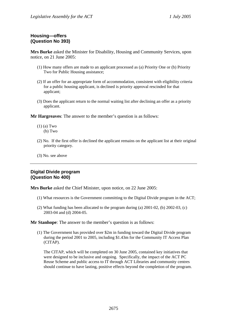## <span id="page-27-0"></span>**Housing—offers (Question No 393)**

**Mrs Burke** asked the Minister for Disability, Housing and Community Services, upon notice, on 21 June 2005:

- (1) How many offers are made to an applicant processed as (a) Priority One or (b) Priority Two for Public Housing assistance;
- (2) If an offer for an appropriate form of accommodation, consistent with eligibility criteria for a public housing applicant, is declined is priority approval rescinded for that applicant;
- (3) Does the applicant return to the normal waiting list after declining an offer as a priority applicant.

**Mr Hargreaves**: The answer to the member's question is as follows:

- (1) (a) Two
	- (b) Two
- (2) No. If the first offer is declined the applicant remains on the applicant list at their original priority category.
- (3) No. see above

### **Digital Divide program (Question No 400)**

**Mrs Burke** asked the Chief Minister, upon notice, on 22 June 2005:

- (1) What resources is the Government committing to the Digital Divide program in the ACT;
- (2) What funding has been allocated to the program during (a) 2001-02, (b) 2002-03, (c) 2003-04 and (d) 2004-05.

**Mr Stanhope**: The answer to the member's question is as follows:

(1) The Government has provided over \$2m in funding toward the Digital Divide program during the period 2001 to 2005, including \$1.43m for the Community IT Access Plan (CITAP).

The CITAP, which will be completed on 30 June 2005, contained key initiatives that were designed to be inclusive and ongoing. Specifically, the impact of the ACT PC Reuse Scheme and public access to IT through ACT Libraries and community centres should continue to have lasting, positive effects beyond the completion of the program.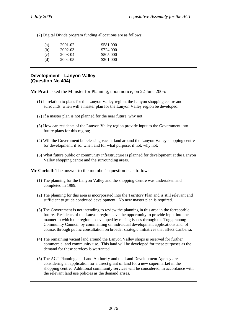<span id="page-28-0"></span>(2) Digital Divide program funding allocations are as follows:

| (a) | 2001-02 | \$581,000 |
|-----|---------|-----------|
| (b) | 2002-03 | \$724,000 |
| (c) | 2003-04 | \$505,000 |
| (d) | 2004-05 | \$201,000 |
|     |         |           |

### **Development—Lanyon Valley (Question No 404)**

**Mr Pratt** asked the Minister for Planning, upon notice, on 22 June 2005:

- (1) In relation to plans for the Lanyon Valley region, the Lanyon shopping centre and surrounds, when will a master plan for the Lanyon Valley region be developed;
- (2) If a master plan is not planned for the near future, why not;
- (3) How can residents of the Lanyon Valley region provide input to the Government into future plans for this region;
- (4) Will the Government be releasing vacant land around the Lanyon Valley shopping centre for development; if so, when and for what purpose; if not, why not;
- (5) What future public or community infrastructure is planned for development at the Lanyon Valley shopping centre and the surrounding areas.

**Mr Corbell**: The answer to the member's question is as follows:

- (1) The planning for the Lanyon Valley and the shopping Centre was undertaken and completed in 1989.
- (2) The planning for this area is incorporated into the Territory Plan and is still relevant and sufficient to guide continued development. No new master plan is required.
- (3) The Government is not intending to review the planning in this area in the foreseeable future. Residents of the Lanyon region have the opportunity to provide input into the manner in which the region is developed by raising issues through the Tuggeranong Community Council, by commenting on individual development applications and, of course, through public consultation on broader strategic initiatives that affect Canberra.
- (4) The remaining vacant land around the Lanyon Valley shops is reserved for further commercial and community use. This land will be developed for these purposes as the demand for these services is warranted.
- (5) The ACT Planning and Land Authority and the Land Development Agency are considering an application for a direct grant of land for a new supermarket in the shopping centre. Additional community services will be considered, in accordance with the relevant land use policies as the demand arises.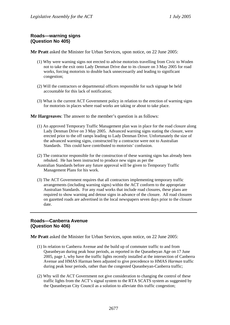### <span id="page-29-0"></span>**Roads—warning signs (Question No 405)**

**Mr Pratt** asked the Minister for Urban Services, upon notice, on 22 June 2005:

- (1) Why were warning signs not erected to advise motorists travelling from Civic to Woden not to take the exit onto Lady Denman Drive due to its closure on 3 May 2005 for road works, forcing motorists to double back unnecessarily and leading to significant congestion;
- (2) Will the contractors or departmental officers responsible for such signage be held accountable for this lack of notification;
- (3) What is the current ACT Government policy in relation to the erection of warning signs for motorists in places where road works are taking or about to take place.

**Mr Hargreaves**: The answer to the member's question is as follows:

- (1) An approved Temporary Traffic Management plan was in place for the road closure along Lady Denman Drive on 3 May 2005. Advanced warning signs stating the closure, were erected prior to the off ramps leading to Lady Denman Drive. Unfortunately the size of the advanced warning signs, constructed by a contractor were not to Australian Standards. This could have contributed to motorists' confusion.
- (2) The contractor responsible for the construction of these warning signs has already been rebuked. He has been instructed to produce new signs as per the
- Australian Standards before any future approval will be given to Temporary Traffic Management Plans for his work.
- (3) The ACT Government requires that all contractors implementing temporary traffic arrangements (including warning signs) within the ACT conform to the appropriate Australian Standards. For any road works that include road closures, these plans are required to show warning and detour signs in advance of the closure. All road closures on gazetted roads are advertised in the local newspapers seven days prior to the closure date.

### **Roads—Canberra Avenue (Question No 406)**

**Mr Pratt** asked the Minister for Urban Services, upon notice, on 22 June 2005:

- (1) In relation to Canberra Avenue and the build up of commuter traffic to and from Queanbeyan during peak hour periods, as reported in the Queanbeyan Age on 17 June 2005, page 1, why have the traffic lights recently installed at the intersection of Canberra Avenue and HMAS Harman been adjusted to give precedence to HMAS *Harman* traffic during peak hour periods, rather than the congested Queanbeyan-Canberra traffic;
- (2) Why will the ACT Government not give consideration to changing the control of these traffic lights from the ACT's signal system to the RTA SCATS system as suggested by the Queanbeyan City Council as a solution to alleviate this traffic congestion;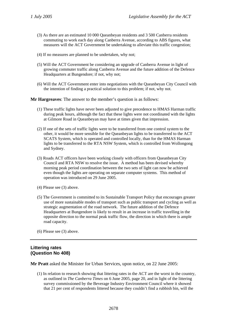- <span id="page-30-0"></span>(3) As there are an estimated 10 000 Queanbeyan residents and 3 500 Canberra residents commuting to work each day along Canberra Avenue, according to ABS figures, what measures will the ACT Government be undertaking to alleviate this traffic congestion;
- (4) If no measures are planned to be undertaken, why not;
- (5) Will the ACT Government be considering an upgrade of Canberra Avenue in light of growing commuter traffic along Canberra Avenue and the future addition of the Defence Headquarters at Bungendore; if not, why not;
- (6) Will the ACT Government enter into negotiations with the Queanbeyan City Council with the intention of finding a practical solution to this problem; if not, why not.

**Mr Hargreaves**: The answer to the member's question is as follows:

- (1) These traffic lights have never been adjusted to give precedence to HMAS Harman traffic during peak hours, although the fact that these lights were not coordinated with the lights at Gilmore Road in Queanbeyan may have at times given that impression.
- (2) If one of the sets of traffic lights were to be transferred from one control system to the other, it would be more sensible for the Queanbeyan lights to be transferred to the ACT SCATS System, which is operated and controlled locally, than for the HMAS Harman lights to be transferred to the RTA NSW System, which is controlled from Wollongong and Sydney.
- (3) Roads ACT officers have been working closely with officers from Queanbeyan City Council and RTA NSW to resolve the issue. A method has been devised whereby morning peak period coordination between the two sets of light can now be achieved even though the lights are operating on separate computer systems. This method of operation was introduced on 29 June 2005.
- (4) Please see (3) above.
- (5) The Government is committed to its Sustainable Transport Policy that encourages greater use of more sustainable modes of transport such as public transport and cycling as well as strategic augmentation of the road network. The future addition of the Defence Headquarters at Bungendore is likely to result in an increase in traffic travelling in the opposite direction to the normal peak traffic flow, the direction in which there is ample road capacity.

(6) Please see (3) above.

### **Littering rates (Question No 408)**

**Mr Pratt** asked the Minister for Urban Services, upon notice, on 22 June 2005:

(1) In relation to research showing that littering rates in the ACT are the worst in the country, as outlined in *The Canberra Times* on 6 June 2005, page 20, and in light of the littering survey commissioned by the Beverage Industry Environment Council where it showed that 21 per cent of respondents littered because they couldn't find a rubbish bin, will the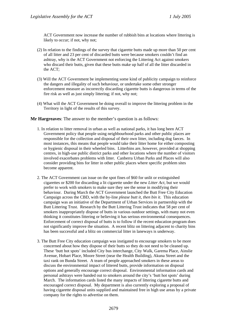ACT Government now increase the number of rubbish bins at locations where littering is likely to occur; if not, why not;

- (2) In relation to the findings of the survey that cigarette butts made up more than 50 per cent of all litter and 23 per cent of discarded butts were because smokers couldn't find an ashtray, why is the ACT Government not enforcing the Littering Act against smokers who discard their butts, given that these butts make up half of all the litter discarded in the ACT;
- (3) Will the ACT Government be implementing some kind of publicity campaign to reinforce the dangers and illegality of such behaviour, or undertake some other stronger enforcement measure as incorrectly discarding cigarette butts is dangerous in terms of the fire risk as well as just simply littering; if not, why not;
- (4) What will the ACT Government be doing overall to improve the littering problem in the Territory in light of the results of this survey.

- 1. In relation to litter removal in urban as well as national parks, it has long been ACT Government policy that people using neighbourhood parks and other public places are responsible for the collection and disposal of their own litter, including dog faeces. In most instances, this means that people would take their litter home for either composting or hygienic disposal in their wheeled bins. Litterbins are, however, provided at shopping centres, in high-use public district parks and other locations where the number of visitors involved exacerbates problems with litter. Canberra Urban Parks and Places will also consider providing bins for litter in other public places where specific problem sites become apparent.
- 2. The ACT Government can issue on the spot fines of \$60 for unlit or extinguished cigarettes or \$200 for discarding a lit cigarette under the new *Litter Act*, but we would prefer to work with smokers to make sure they see the sense in modifying their behaviour. During March the ACT Government launched the Butt Free City Education Campaign across the CBD, with the by-line *please butt it, then bin it*. This education campaign was an initiative of the Department of Urban Services in partnership with the Butt Littering Trust. Research by the Butt Littering Trust indicates that 58 per cent of smokers inappropriately dispose of butts in various outdoor settings, with many not even thinking it constitutes littering or believing it has serious environmental consequences. Enforcement of correct disposal of butts is to follow if the recent education program does not significantly improve the situation. A recent blitz on littering adjacent to charity bins has been successful and a blitz on commercial litter in laneways is underway.
- 3. The Butt Free City education campaign was instigated to encourage smokers to be more concerned about how they dispose of their butts so they do not need to be cleaned up. These 'butt hot spots' included City bus interchange, City Walk, Garema Place, Ainslie Avenue, Hobart Place, Moore Street (near the Health Building), Akuna Street and the taxi rank on Bunda Street. A team of people approached smokers in these areas to discuss the environmental impact of littered butts, provide information on disposal options and generally encourage correct disposal. Environmental information cards and personal ashtrays were handed out to smokers around the city's 'butt hot spots' during March. The information cards listed the many impacts of littering cigarette butts and encouraged correct disposal. My department is also currently exploring a proposal of having cigarette disposal units supplied and maintained free in high use areas by a private company for the rights to advertise on them.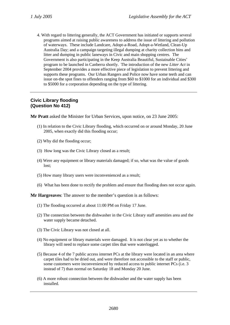<span id="page-32-0"></span>4. With regard to littering generally, the ACT Government has initiated or supports several programs aimed at raising public awareness to address the issue of littering and pollution of waterways. These include Landcare, Adopt-a-Road, Adopt-a-Wetland, Clean-Up Australia Day; and a campaign targeting illegal dumping at charity collection bins and litter and dumping in public laneways in Civic and main shopping centres. The Government is also participating in the Keep Australia Beautiful, Sustainable Cities' program to be launched in Canberra shortly. The introduction of the new *Litter Act* in September 2004 provides a more effective piece of legislation to prevent littering and supports these programs. Our Urban Rangers and Police now have some teeth and can issue on-the spot fines to offenders ranging from \$60 to \$1000 for an individual and \$300 to \$5000 for a corporation depending on the type of littering.

### **Civic Library flooding (Question No 412)**

**Mr Pratt** asked the Minister for Urban Services, upon notice, on 23 June 2005:

- (1) In relation to the Civic Library flooding, which occurred on or around Monday, 20 June 2005, when exactly did this flooding occur;
- (2) Why did the flooding occur;
- (3) How long was the Civic Library closed as a result;
- (4) Were any equipment or library materials damaged; if so, what was the value of goods lost;
- (5) How many library users were inconvenienced as a result;
- (6) What has been done to rectify the problem and ensure that flooding does not occur again.

- (1) The flooding occurred at about 11:00 PM on Friday 17 June.
- (2) The connection between the dishwasher in the Civic Library staff amenities area and the water supply became detached.
- (3) The Civic Library was not closed at all.
- (4) No equipment or library materials were damaged. It is not clear yet as to whether the library will need to replace some carpet tiles that were waterlogged.
- (5) Because 4 of the 7 public access internet PCs at the library were located in an area where carpet tiles had to be dried out, and were therefore not accessible to the staff or public, some customers were inconvenienced by reduced access to public internet PCs (i.e. 3 instead of 7) than normal on Saturday 18 and Monday 20 June.
- (6) A more robust connection between the dishwasher and the water supply has been installed.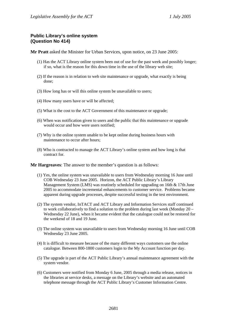### <span id="page-33-0"></span>**Public Library's online system (Question No 414)**

**Mr Pratt** asked the Minister for Urban Services, upon notice, on 23 June 2005:

- (1) Has the ACT Library online system been out of use for the past week and possibly longer; if so, what is the reason for this down time in the use of the library web site;
- (2) If the reason is in relation to web site maintenance or upgrade, what exactly is being done;
- (3) How long has or will this online system be unavailable to users;
- (4) How many users have or will be affected;
- (5) What is the cost to the ACT Government of this maintenance or upgrade;
- (6) When was notification given to users and the public that this maintenance or upgrade would occur and how were users notified;
- (7) Why is the online system unable to be kept online during business hours with maintenance to occur after hours;
- (8) Who is contracted to manage the ACT Library's online system and how long is that contract for.

- (1) Yes, the online system was unavailable to users from Wednesday morning 16 June until COB Wednesday 23 June 2005. Horizon, the ACT Public Library's Library Management System (LMS) was routinely scheduled for upgrading on 16th & 17th June 2005 to accommodate incremental enhancements to customer service. Problems became apparent during upgrade processes, despite successful testing in the test environment.
- (2) The system vendor, InTACT and ACT Library and Information Services staff continued to work collaboratively to find a solution to the problem during last week (Monday 20 – Wednesday 22 June), when it became evident that the catalogue could not be restored for the weekend of 18 and 19 June.
- (3) The online system was unavailable to users from Wednesday morning 16 June until COB Wednesday 23 June 2005.
- (4) It is difficult to measure because of the many different ways customers use the online catalogue. Between 800-1800 customers login to the My Account function per day.
- (5) The upgrade is part of the ACT Public Library's annual maintenance agreement with the system vendor.
- (6) Customers were notified from Monday 6 June, 2005 through a media release, notices in the libraries at service desks, a message on the Library's website and an automated telephone message through the ACT Public Library's Customer Information Centre.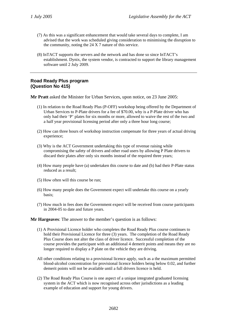- <span id="page-34-0"></span>(7) As this was a significant enhancement that would take several days to complete, I am advised that the work was scheduled giving consideration to minimising the disruption to the community, noting the 24 X 7 nature of this service.
- (8) InTACT supports the servers and the network and has done so since InTACT's establishment. Dynix, the system vendor, is contracted to support the library management software until 2 July 2009.

### **Road Ready Plus program (Question No 415)**

**Mr Pratt** asked the Minister for Urban Services, upon notice, on 23 June 2005:

- (1) In relation to the Road Ready Plus (P-OFF) workshop being offered by the Department of Urban Services to P-Plate drivers for a fee of \$70.00, why is a P-Plate driver who has only had their 'P' plates for six months or more, allowed to waive the rest of the two and a half year provisional licensing period after only a three hour long course;
- (2) How can three hours of workshop instruction compensate for three years of actual driving experience;
- (3) Why is the ACT Government undertaking this type of revenue raising while compromising the safety of drivers and other road users by allowing P Plate drivers to discard their plates after only six months instead of the required three years;
- (4) How many people have (a) undertaken this course to date and (b) had their P-Plate status reduced as a result;
- (5) How often will this course be run;
- (6) How many people does the Government expect will undertake this course on a yearly basis;
- (7) How much in fees does the Government expect will be received from course participants in 2004-05 to date and future years.

- (1) A Provisional Licence holder who completes the Road Ready Plus course continues to hold their Provisional Licence for three (3) years. The completion of the Road Ready Plus Course does not alter the class of driver licence. Successful completion of the course provides the participant with an additional 4 demerit points and means they are no longer required to display a P plate on the vehicle they are driving.
- All other conditions relating to a provisional licence apply, such as a the maximum permitted blood-alcohol concentration for provisional licence holders being below 0.02, and further demerit points will not be available until a full drivers licence is held.
- (2) The Road Ready Plus Course is one aspect of a unique integrated graduated licensing system in the ACT which is now recognised across other jurisdictions as a leading example of education and support for young drivers.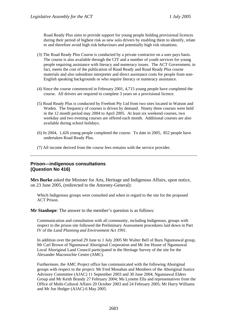<span id="page-35-0"></span>Road Ready Plus aims to provide support for young people holding provisional licences during their period of highest risk as new solo drivers by enabling them to identify, relate to and therefore avoid high risk behaviours and potentially high risk situations.

- (3) The Road Ready Plus Course is conducted by a private contractor on a user pays basis. The course is also available through the CIT and a number of youth services for young people requiring assistance with literacy and numeracy issues. The ACT Government, in fact, meets the cost of the publication of Road Ready and Road Ready Plus course materials and also subsidises interpreter and direct assistance costs for people from non-English speaking backgrounds or who require literacy or numeracy assistance.
- (4) Since the course commenced in February 2001, 4,715 young people have completed the course. All drivers are required to complete 3 years on a provisional licence.
- (5) Road Ready Plus is conducted by Freebott Pty Ltd from two sites located in Watson and Woden. The frequency of courses is driven by demand. Ninety three courses were held in the 12 month period may 2004 to April 2005. At least six weekend courses, two weekday and two evening courses are offered each month. Additional courses are also available during school holidays.
- (6) In 2004, 1,426 young people completed the course. To date in 2005, 852 people have undertaken Road Ready Plus.
- (7) All income derived from the course fees remains with the service provider.

#### **Prison—indigenous consultations (Question No 416)**

**Mrs Burke** asked the Minister for Arts, Heritage and Indigenous Affairs, upon notice, on 23 June 2005, (redirected to the Attorney-General):

Which Indigenous groups were consulted and when in regard to the site for the proposed ACT Prison.

**Mr Stanhope**: The answer to the member's question is as follows:

Communication and consultation with all community, including Indigenous, groups with respect to the prison site followed the Preliminary Assessment procedures laid down in Part IV of the *Land Planning and Environment Act 1991*.

In addition over the period 29 June to 1 July 2005 Mr Walter Bell of Buru Ngunnawal group, Mr Carl Brown of Ngunnawal Aboriginal Corporation and Mr Joe House of Ngunnawal Local Aboriginal Land Council participated in the Heritage Survey of the site for the Alexander Maconochie Centre (AMC).

Furthermore, the AMC Project office has communicated with the following Aboriginal groups with respect to the project: Mr Fred Monahan and Members of the Aboriginal Justice Advisory Committee (AJAC) 11 September 2003 and 30 June 2004; Ngunnawal Elders Group and Mr Keith Brandy 27 February 2004; Ms Lynette Ella and representatives from the Office of Multi-Cultural Affairs 20 October 2003 and 24 February 2005; Mr Harry Williams and Mr Joe Hedger (AJAC) 6 May 2005.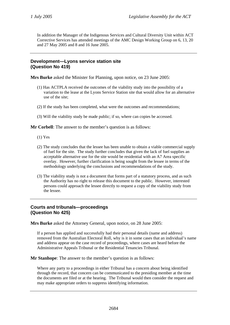<span id="page-36-0"></span>In addition the Manager of the Indigenous Services and Cultural Diversity Unit within ACT Corrective Services has attended meetings of the AMC Design Working Group on 6, 13, 20 and 27 May 2005 and 8 and 16 June 2005.

#### **Development—Lyons service station site (Question No 419)**

**Mrs Burke** asked the Minister for Planning, upon notice, on 23 June 2005:

- (1) Has ACTPLA received the outcomes of the viability study into the possibility of a variation to the lease at the Lyons Service Station site that would allow for an alternative use of the site;
- (2) If the study has been completed, what were the outcomes and recommendations;
- (3) Will the viability study be made public; if so, where can copies be accessed.

**Mr Corbell**: The answer to the member's question is as follows:

- (1) Yes
- (2) The study concludes that the lessee has been unable to obtain a viable commercial supply of fuel for the site. The study further concludes that given the lack of fuel supplies an acceptable alternative use for the site would be residential with an A7 Area specific overlay. However, further clarification is being sought from the lessee in terms of the methodology underlying the conclusions and recommendations of the study.
- (3) The viability study is not a document that forms part of a statutory process, and as such the Authority has no right to release this document to the public. However, interested persons could approach the lessee directly to request a copy of the viability study from the lessee.

### **Courts and tribunals—proceedings (Question No 425)**

**Mrs Burke** asked the Attorney General, upon notice, on 28 June 2005:

If a person has applied and successfully had their personal details (name and address) removed from the Australian Electoral Roll, why is it in some cases that an individual's name and address appear on the case record of proceedings, where cases are heard before the Administrative Appeals Tribunal or the Residential Tenancies Tribunal.

**Mr Stanhope**: The answer to the member's question is as follows:

Where any party to a proceedings in either Tribunal has a concern about being identified through the record, that concern can be communicated to the presiding member at the time the documents are filed or at the hearing. The Tribunal would then consider the request and may make appropriate orders to suppress identifying information.